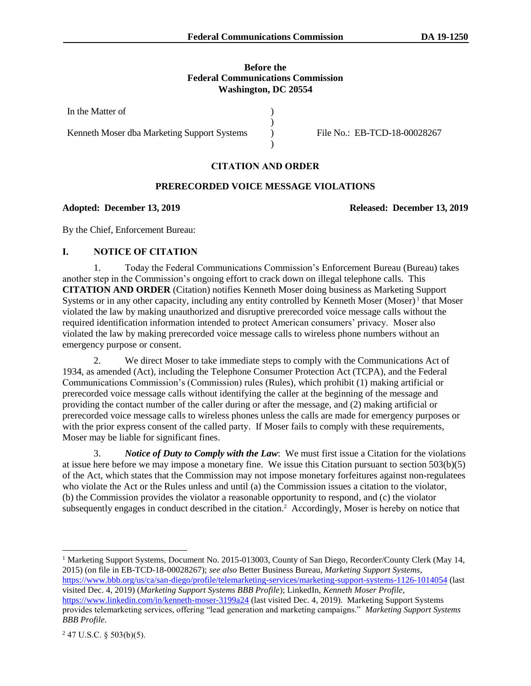### **Before the Federal Communications Commission Washington, DC 20554**

) )  $\lambda$ )

In the Matter of

Kenneth Moser dba Marketing Support Systems

File No.: EB-TCD-18-00028267

# **CITATION AND ORDER**

## **PRERECORDED VOICE MESSAGE VIOLATIONS**

### **Adopted: December 13, 2019 Released: December 13, 2019**

By the Chief, Enforcement Bureau:

## **I. NOTICE OF CITATION**

1. Today the Federal Communications Commission's Enforcement Bureau (Bureau) takes another step in the Commission's ongoing effort to crack down on illegal telephone calls. This **CITATION AND ORDER** (Citation) notifies Kenneth Moser doing business as Marketing Support Systems or in any other capacity, including any entity controlled by Kenneth Moser (Moser)<sup>1</sup> that Moser violated the law by making unauthorized and disruptive prerecorded voice message calls without the required identification information intended to protect American consumers' privacy. Moser also violated the law by making prerecorded voice message calls to wireless phone numbers without an emergency purpose or consent.

2. We direct Moser to take immediate steps to comply with the Communications Act of 1934, as amended (Act), including the Telephone Consumer Protection Act (TCPA), and the Federal Communications Commission's (Commission) rules (Rules), which prohibit (1) making artificial or prerecorded voice message calls without identifying the caller at the beginning of the message and providing the contact number of the caller during or after the message, and (2) making artificial or prerecorded voice message calls to wireless phones unless the calls are made for emergency purposes or with the prior express consent of the called party. If Moser fails to comply with these requirements, Moser may be liable for significant fines.

3. *Notice of Duty to Comply with the Law*: We must first issue a Citation for the violations at issue here before we may impose a monetary fine. We issue this Citation pursuant to section 503(b)(5) of the Act, which states that the Commission may not impose monetary forfeitures against non-regulatees who violate the Act or the Rules unless and until (a) the Commission issues a citation to the violator, (b) the Commission provides the violator a reasonable opportunity to respond, and (c) the violator subsequently engages in conduct described in the citation.<sup>2</sup> Accordingly, Moser is hereby on notice that

<sup>1</sup> Marketing Support Systems, Document No. 2015-013003, County of San Diego, Recorder/County Clerk (May 14, 2015) (on file in EB-TCD-18-00028267); *see also* Better Business Bureau, *Marketing Support Systems*, <https://www.bbb.org/us/ca/san-diego/profile/telemarketing-services/marketing-support-systems-1126-1014054> (last

visited Dec. 4, 2019) (*Marketing Support Systems BBB Profile*); LinkedIn, *Kenneth Moser Profile*, <https://www.linkedin.com/in/kenneth-moser-3199a24> (last visited Dec. 4, 2019). Marketing Support Systems provides telemarketing services, offering "lead generation and marketing campaigns." *Marketing Support Systems BBB Profile*.

 $247$  U.S.C. § 503(b)(5).

l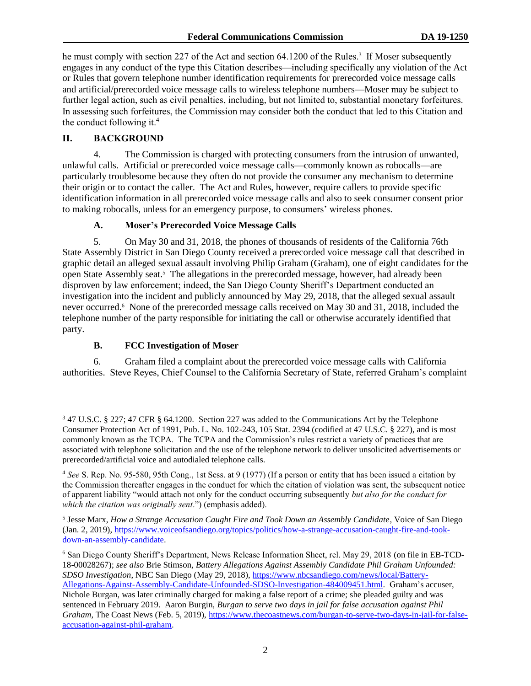<span id="page-1-0"></span>he must comply with section 227 of the Act and section 64.1200 of the Rules.<sup>3</sup> If Moser subsequently engages in any conduct of the type this Citation describes—including specifically any violation of the Act or Rules that govern telephone number identification requirements for prerecorded voice message calls and artificial/prerecorded voice message calls to wireless telephone numbers—Moser may be subject to further legal action, such as civil penalties, including, but not limited to, substantial monetary forfeitures. In assessing such forfeitures, the Commission may consider both the conduct that led to this Citation and the conduct following it.<sup>4</sup>

# **II. BACKGROUND**

l

4. The Commission is charged with protecting consumers from the intrusion of unwanted, unlawful calls. Artificial or prerecorded voice message calls—commonly known as robocalls—are particularly troublesome because they often do not provide the consumer any mechanism to determine their origin or to contact the caller. The Act and Rules, however, require callers to provide specific identification information in all prerecorded voice message calls and also to seek consumer consent prior to making robocalls, unless for an emergency purpose, to consumers' wireless phones.

### **A. Moser's Prerecorded Voice Message Calls**

5. On May 30 and 31, 2018, the phones of thousands of residents of the California 76th State Assembly District in San Diego County received a prerecorded voice message call that described in graphic detail an alleged sexual assault involving Philip Graham (Graham), one of eight candidates for the open State Assembly seat.<sup>5</sup> The allegations in the prerecorded message, however, had already been disproven by law enforcement; indeed, the San Diego County Sheriff's Department conducted an investigation into the incident and publicly announced by May 29, 2018, that the alleged sexual assault never occurred.<sup>6</sup> None of the prerecorded message calls received on May 30 and 31, 2018, included the telephone number of the party responsible for initiating the call or otherwise accurately identified that party.

# **B. FCC Investigation of Moser**

6. Graham filed a complaint about the prerecorded voice message calls with California authorities. Steve Reyes, Chief Counsel to the California Secretary of State, referred Graham's complaint

<sup>3</sup> 47 U.S.C. § 227; 47 CFR § 64.1200. Section 227 was added to the Communications Act by the Telephone Consumer Protection Act of 1991, Pub. L. No. 102-243, 105 Stat. 2394 (codified at 47 U.S.C. § 227), and is most commonly known as the TCPA. The TCPA and the Commission's rules restrict a variety of practices that are associated with telephone solicitation and the use of the telephone network to deliver unsolicited advertisements or prerecorded/artificial voice and autodialed telephone calls.

<sup>4</sup> *See* S. Rep. No. 95-580, 95th Cong., 1st Sess. at 9 (1977) (If a person or entity that has been issued a citation by the Commission thereafter engages in the conduct for which the citation of violation was sent, the subsequent notice of apparent liability "would attach not only for the conduct occurring subsequently *but also for the conduct for which the citation was originally sent*.") (emphasis added).

<sup>&</sup>lt;sup>5</sup> Jesse Marx, *How a Strange Accusation Caught Fire and Took Down an Assembly Candidate*, Voice of San Diego (Jan. 2, 2019), [https://www.voiceofsandiego.org/topics/politics/how-a-strange-accusation-caught-fire-and-took](https://www.voiceofsandiego.org/topics/politics/how-a-strange-accusation-caught-fire-and-took-down-an-assembly-candidate/)[down-an-assembly-candidate.](https://www.voiceofsandiego.org/topics/politics/how-a-strange-accusation-caught-fire-and-took-down-an-assembly-candidate/)

<sup>6</sup> San Diego County Sheriff's Department, News Release Information Sheet, rel. May 29, 2018 (on file in EB-TCD-18-00028267); *see also* Brie Stimson, *Battery Allegations Against Assembly Candidate Phil Graham Unfounded: SDSO Investigation*, NBC San Diego (May 29, 2018), [https://www.nbcsandiego.com/news/local/Battery-](https://www.nbcsandiego.com/news/local/Battery-Allegations-Against-Assembly-Candidate-Unfounded-SDSO-Investigation-484009451.html)[Allegations-Against-Assembly-Candidate-Unfounded-SDSO-Investigation-484009451.html.](https://www.nbcsandiego.com/news/local/Battery-Allegations-Against-Assembly-Candidate-Unfounded-SDSO-Investigation-484009451.html) Graham's accuser, Nichole Burgan, was later criminally charged for making a false report of a crime; she pleaded guilty and was sentenced in February 2019. Aaron Burgin, *Burgan to serve two days in jail for false accusation against Phil Graham*, The Coast News (Feb. 5, 2019), https://www.thecoastnews.com/burgan-to-serve-two-days-in-jail-for-falseaccusation-against-phil-graham.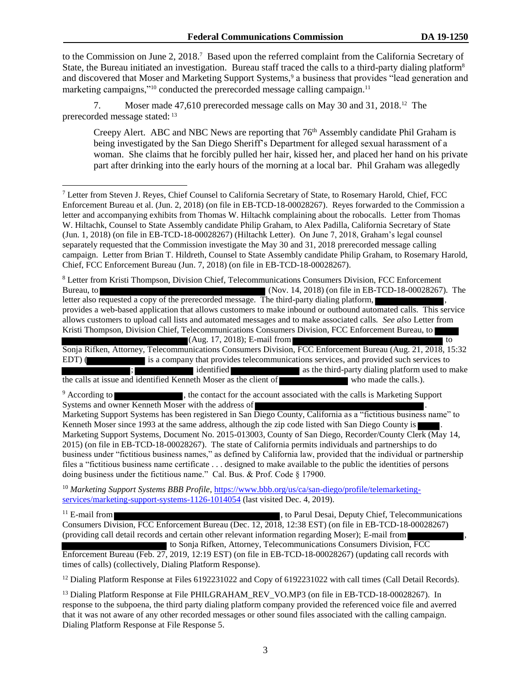to the Commission on June 2, 2018.<sup>7</sup> Based upon the referred complaint from the California Secretary of State, the Bureau initiated an investigation. Bureau staff traced the calls to a third-party dialing platform<sup>8</sup> and discovered that Moser and Marketing Support Systems,<sup>9</sup> a business that provides "lead generation and marketing campaigns,"<sup>10</sup> conducted the prerecorded message calling campaign.<sup>11</sup>

7. Moser made 47,610 prerecorded message calls on May 30 and 31, 2018.<sup>12</sup> The prerecorded message stated: <sup>13</sup>

Creepy Alert. ABC and NBC News are reporting that  $76<sup>th</sup>$  Assembly candidate Phil Graham is being investigated by the San Diego Sheriff's Department for alleged sexual harassment of a woman. She claims that he forcibly pulled her hair, kissed her, and placed her hand on his private part after drinking into the early hours of the morning at a local bar. Phil Graham was allegedly

<sup>8</sup> Letter from Kristi Thompson, Division Chief, Telecommunications Consumers Division, FCC Enforcement Bureau, to (Nov. 14, 2018) (on file in EB-TCD-18-00028267). The letter also requested a copy of the prerecorded message. The third-party dialing platform, provides a web-based application that allows customers to make inbound or outbound automated calls. This service allows customers to upload call lists and automated messages and to make associated calls. *See also* Letter from Kristi Thompson, Division Chief, Telecommunications Consumers Division, FCC Enforcement Bureau, to (Aug. 17, 2018); E-mail from to

Sonja Rifken, Attorney, Telecommunications Consumers Division, FCC Enforcement Bureau (Aug. 21, 2018, 15:32 EDT) (is a company that provides telecommunications services, and provided such services to<br>identified as the third-party dialing platform used to n **is as the third-party dialing platform used to make** the calls at issue and identified Kenneth Moser as the client of who made the calls.).

<sup>9</sup> According to , the contact for the account associated with the calls is Marketing Support Systems and owner Kenneth Moser with the address of Systems and owner Kenneth Moser with the address of  $\blacksquare$ .

Marketing Support Systems has been registered in San Diego County, California as a "fictitious business name" to Kenneth Moser since 1993 at the same address, although the zip code listed with San Diego County is Marketing Support Systems, Document No. 2015-013003, County of San Diego, Recorder/County Clerk (May 14, 2015) (on file in EB-TCD-18-00028267). The state of California permits individuals and partnerships to do business under "fictitious business names," as defined by California law, provided that the individual or partnership files a "fictitious business name certificate . . . designed to make available to the public the identities of persons doing business under the fictitious name." Cal. Bus. & Prof. Code § 17900.

<sup>10</sup> *Marketing Support Systems BBB Profile*, [https://www.bbb.org/us/ca/san-diego/profile/telemarketing](https://www.bbb.org/us/ca/san-diego/profile/telemarketing-services/marketing-support-systems-1126-1014054)[services/marketing-support-systems-1126-1014054](https://www.bbb.org/us/ca/san-diego/profile/telemarketing-services/marketing-support-systems-1126-1014054) (last visited Dec. 4, 2019).

<sup>11</sup> E-mail from **the same of the same of the same of the same of the same of the same of the same of the same of the same of the same of the same of the same of the same of the same of the same of the same of the same of** Consumers Division, FCC Enforcement Bureau (Dec. 12, 2018, 12:38 EST) (on file in EB-TCD-18-00028267) (providing call detail records and certain other relevant information regarding Moser); E-mail from , to Sonja Rifken, Attorney, Telecommunications Consumers Division, FCC Enforcement Bureau (Feb. 27, 2019, 12:19 EST) (on file in EB-TCD-18-00028267) (updating call records with times of calls) (collectively, Dialing Platform Response).

<sup>12</sup> Dialing Platform Response at Files 6192231022 and Copy of 6192231022 with call times (Call Detail Records).

<sup>13</sup> Dialing Platform Response at File PHILGRAHAM\_REV\_VO.MP3 (on file in EB-TCD-18-00028267). In response to the subpoena, the third party dialing platform company provided the referenced voice file and averred that it was not aware of any other recorded messages or other sound files associated with the calling campaign. Dialing Platform Response at File Response 5.

<sup>7</sup> Letter from Steven J. Reyes, Chief Counsel to California Secretary of State, to Rosemary Harold, Chief, FCC Enforcement Bureau et al. (Jun. 2, 2018) (on file in EB-TCD-18-00028267). Reyes forwarded to the Commission a letter and accompanying exhibits from Thomas W. Hiltachk complaining about the robocalls. Letter from Thomas W. Hiltachk, Counsel to State Assembly candidate Philip Graham, to Alex Padilla, California Secretary of State (Jun. 1, 2018) (on file in EB-TCD-18-00028267) (Hiltachk Letter). On June 7, 2018, Graham's legal counsel separately requested that the Commission investigate the May 30 and 31, 2018 prerecorded message calling campaign. Letter from Brian T. Hildreth, Counsel to State Assembly candidate Philip Graham, to Rosemary Harold, Chief, FCC Enforcement Bureau (Jun. 7, 2018) (on file in EB-TCD-18-00028267).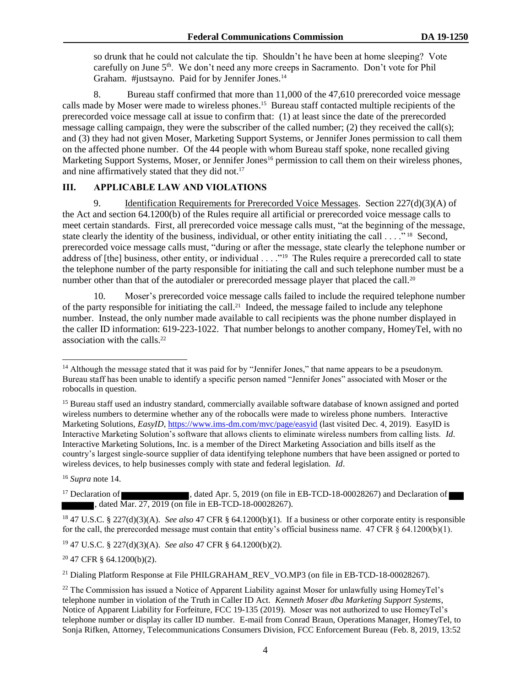so drunk that he could not calculate the tip. Shouldn't he have been at home sleeping? Vote carefully on June 5<sup>th</sup>. We don't need any more creeps in Sacramento. Don't vote for Phil Graham. #justsayno. Paid for by Jennifer Jones.<sup>14</sup>

8. Bureau staff confirmed that more than 11,000 of the 47,610 prerecorded voice message calls made by Moser were made to wireless phones. 15 Bureau staff contacted multiple recipients of the prerecorded voice message call at issue to confirm that: (1) at least since the date of the prerecorded message calling campaign, they were the subscriber of the called number; (2) they received the call(s); and (3) they had not given Moser, Marketing Support Systems, or Jennifer Jones permission to call them on the affected phone number. Of the 44 people with whom Bureau staff spoke, none recalled giving Marketing Support Systems, Moser, or Jennifer Jones<sup>16</sup> permission to call them on their wireless phones, and nine affirmatively stated that they did not. 17

# **III. APPLICABLE LAW AND VIOLATIONS**

9. Identification Requirements for Prerecorded Voice Messages. Section 227(d)(3)(A) of the Act and section 64.1200(b) of the Rules require all artificial or prerecorded voice message calls to meet certain standards. First, all prerecorded voice message calls must, "at the beginning of the message, state clearly the identity of the business, individual, or other entity initiating the call . . . ."<sup>18</sup> Second, prerecorded voice message calls must, "during or after the message, state clearly the telephone number or address of [the] business, other entity, or individual . . . . "<sup>19</sup> The Rules require a prerecorded call to state the telephone number of the party responsible for initiating the call and such telephone number must be a number other than that of the autodialer or prerecorded message player that placed the call.<sup>20</sup>

10. Moser's prerecorded voice message calls failed to include the required telephone number of the party responsible for initiating the call.<sup>21</sup> Indeed, the message failed to include any telephone number. Instead, the only number made available to call recipients was the phone number displayed in the caller ID information: 619-223-1022. That number belongs to another company, HomeyTel, with no association with the calls.<sup>22</sup>

<sup>16</sup> *Supra* note [14.](#page-1-0)

l

<sup>17</sup> Declaration of , dated Apr. 5, 2019 (on file in EB-TCD-18-00028267) and Declaration of , dated Mar. 27, 2019 (on file in EB-TCD-18-00028267).

<sup>18</sup> 47 U.S.C. § 227(d)(3)(A). *See also* 47 CFR § 64.1200(b)(1). If a business or other corporate entity is responsible for the call, the prerecorded message must contain that entity's official business name.  $47 \text{ CFR }$  § 64.1200(b)(1).

<sup>19</sup> 47 U.S.C. § 227(d)(3)(A). *See also* 47 CFR § 64.1200(b)(2).

<sup>20</sup> 47 CFR § 64.1200(b)(2).

<sup>21</sup> Dialing Platform Response at File PHILGRAHAM\_REV\_VO.MP3 (on file in EB-TCD-18-00028267).

<sup>&</sup>lt;sup>14</sup> Although the message stated that it was paid for by "Jennifer Jones," that name appears to be a pseudonym. Bureau staff has been unable to identify a specific person named "Jennifer Jones" associated with Moser or the robocalls in question.

<sup>&</sup>lt;sup>15</sup> Bureau staff used an industry standard, commercially available software database of known assigned and ported wireless numbers to determine whether any of the robocalls were made to wireless phone numbers. Interactive Marketing Solutions, *EasyID*, https://www.ims-dm.com/mvc/page/easyid (last visited Dec. 4, 2019). EasyID is Interactive Marketing Solution's software that allows clients to eliminate wireless numbers from calling lists. *Id*. Interactive Marketing Solutions, Inc. is a member of the Direct Marketing Association and bills itself as the country's largest single-source supplier of data identifying telephone numbers that have been assigned or ported to wireless devices, to help businesses comply with state and federal legislation. *Id*.

<sup>&</sup>lt;sup>22</sup> The Commission has issued a Notice of Apparent Liability against Moser for unlawfully using HomeyTel's telephone number in violation of the Truth in Caller ID Act. *Kenneth Moser dba Marketing Support Systems*, Notice of Apparent Liability for Forfeiture, FCC 19-135 (2019). Moser was not authorized to use HomeyTel's telephone number or display its caller ID number. E-mail from Conrad Braun, Operations Manager, HomeyTel, to Sonja Rifken, Attorney, Telecommunications Consumers Division, FCC Enforcement Bureau (Feb. 8, 2019, 13:52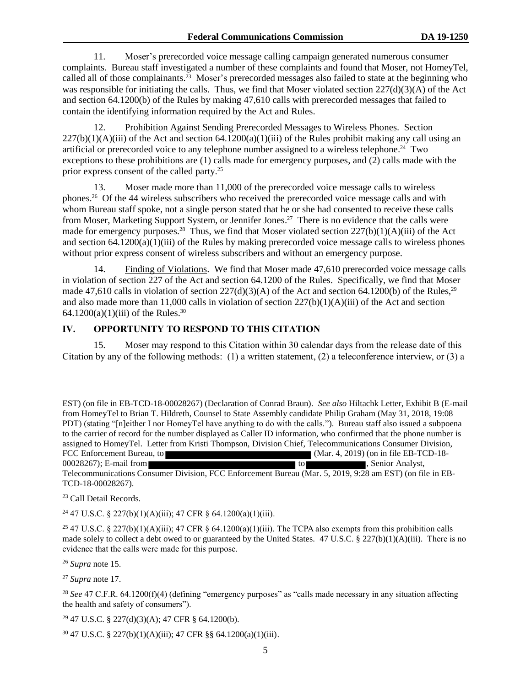11. Moser's prerecorded voice message calling campaign generated numerous consumer complaints. Bureau staff investigated a number of these complaints and found that Moser, not HomeyTel, called all of those complainants.<sup>23</sup> Moser's prerecorded messages also failed to state at the beginning who was responsible for initiating the calls. Thus, we find that Moser violated section 227(d)(3)(A) of the Act and section 64.1200(b) of the Rules by making 47,610 calls with prerecorded messages that failed to contain the identifying information required by the Act and Rules.

12. Prohibition Against Sending Prerecorded Messages to Wireless Phones. Section  $227(b)(1)(A)(iii)$  of the Act and section 64.1200(a)(1)(iii) of the Rules prohibit making any call using an artificial or prerecorded voice to any telephone number assigned to a wireless telephone. 24 Two exceptions to these prohibitions are (1) calls made for emergency purposes, and (2) calls made with the prior express consent of the called party.<sup>25</sup>

13. Moser made more than 11,000 of the prerecorded voice message calls to wireless phones. 26 Of the 44 wireless subscribers who received the prerecorded voice message calls and with whom Bureau staff spoke, not a single person stated that he or she had consented to receive these calls from Moser, Marketing Support System, or Jennifer Jones.<sup>27</sup> There is no evidence that the calls were made for emergency purposes.<sup>28</sup> Thus, we find that Moser violated section 227(b)(1)(A)(iii) of the Act and section 64.1200(a)(1)(iii) of the Rules by making prerecorded voice message calls to wireless phones without prior express consent of wireless subscribers and without an emergency purpose.

14. Finding of Violations. We find that Moser made 47,610 prerecorded voice message calls in violation of section 227 of the Act and section 64.1200 of the Rules. Specifically, we find that Moser made 47,610 calls in violation of section  $227(d)(3)(A)$  of the Act and section 64.1200(b) of the Rules,<sup>29</sup> and also made more than 11,000 calls in violation of section 227(b)(1)(A)(iii) of the Act and section 64.1200(a)(1)(iii) of the Rules.<sup>30</sup>

# **IV. OPPORTUNITY TO RESPOND TO THIS CITATION**

15. Moser may respond to this Citation within 30 calendar days from the release date of this Citation by any of the following methods: (1) a written statement, (2) a teleconference interview, or (3) a

TCD-18-00028267).

<sup>23</sup> Call Detail Records.

 $\overline{a}$ 

<sup>24</sup> 47 U.S.C. § 227(b)(1)(A)(iii); 47 CFR § 64.1200(a)(1)(iii).

<sup>26</sup> *Supra* note [15.](#page-1-0)

<sup>27</sup> *Supra* note [17.](#page-1-0)

 $29$  47 U.S.C. § 227(d)(3)(A); 47 CFR § 64.1200(b).

EST) (on file in EB-TCD-18-00028267) (Declaration of Conrad Braun). *See also* Hiltachk Letter, Exhibit B (E-mail from HomeyTel to Brian T. Hildreth, Counsel to State Assembly candidate Philip Graham (May 31, 2018, 19:08 PDT) (stating "[n]either I nor HomeyTel have anything to do with the calls."). Bureau staff also issued a subpoena to the carrier of record for the number displayed as Caller ID information, who confirmed that the phone number is assigned to HomeyTel. Letter from Kristi Thompson, Division Chief, Telecommunications Consumer Division, FCC Enforcement Bureau, to (Mar. 4, 2019) (on in file EB-TCD-18-00028267); E-mail from  $00028267$ ; E-mail from to  $t_0$ Telecommunications Consumer Division, FCC Enforcement Bureau (Mar. 5, 2019, 9:28 am EST) (on file in EB-

<sup>&</sup>lt;sup>25</sup> 47 U.S.C. § 227(b)(1)(A)(iii); 47 CFR § 64.1200(a)(1)(iii). The TCPA also exempts from this prohibition calls made solely to collect a debt owed to or guaranteed by the United States. 47 U.S.C. § 227(b)(1)(A)(iii). There is no evidence that the calls were made for this purpose.

<sup>&</sup>lt;sup>28</sup> See 47 C.F.R. 64.1200(f)(4) (defining "emergency purposes" as "calls made necessary in any situation affecting the health and safety of consumers").

 $30\,47$  U.S.C. § 227(b)(1)(A)(iii); 47 CFR §§ 64.1200(a)(1)(iii).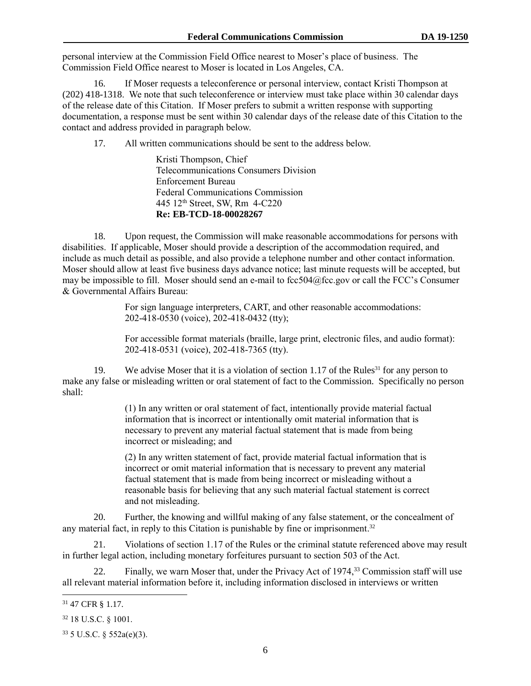personal interview at the Commission Field Office nearest to Moser's place of business. The Commission Field Office nearest to Moser is located in Los Angeles, CA.

16. If Moser requests a teleconference or personal interview, contact Kristi Thompson at (202) 418-1318. We note that such teleconference or interview must take place within 30 calendar days of the release date of this Citation. If Moser prefers to submit a written response with supporting documentation, a response must be sent within 30 calendar days of the release date of this Citation to the contact and address provided in paragraph below.

17. All written communications should be sent to the address below.

Kristi Thompson, Chief Telecommunications Consumers Division Enforcement Bureau Federal Communications Commission 445 12th Street, SW, Rm 4-C220 **Re: EB-TCD-18-00028267**

18. Upon request, the Commission will make reasonable accommodations for persons with disabilities. If applicable, Moser should provide a description of the accommodation required, and include as much detail as possible, and also provide a telephone number and other contact information. Moser should allow at least five business days advance notice; last minute requests will be accepted, but may be impossible to fill. Moser should send an e-mail to fcc504@fcc.gov or call the FCC's Consumer & Governmental Affairs Bureau:

> For sign language interpreters, CART, and other reasonable accommodations: 202-418-0530 (voice), 202-418-0432 (tty);

 For accessible format materials (braille, large print, electronic files, and audio format): 202-418-0531 (voice), 202-418-7365 (tty).

19. We advise Moser that it is a violation of section 1.17 of the Rules<sup>31</sup> for any person to make any false or misleading written or oral statement of fact to the Commission. Specifically no person shall:

> (1) In any written or oral statement of fact, intentionally provide material factual information that is incorrect or intentionally omit material information that is necessary to prevent any material factual statement that is made from being incorrect or misleading; and

> (2) In any written statement of fact, provide material factual information that is incorrect or omit material information that is necessary to prevent any material factual statement that is made from being incorrect or misleading without a reasonable basis for believing that any such material factual statement is correct and not misleading.

20. Further, the knowing and willful making of any false statement, or the concealment of any material fact, in reply to this Citation is punishable by fine or imprisonment.<sup>32</sup>

21. Violations of section 1.17 of the Rules or the criminal statute referenced above may result in further legal action, including monetary forfeitures pursuant to section 503 of the Act.

22. Finally, we warn Moser that, under the Privacy Act of 1974,<sup>33</sup> Commission staff will use all relevant material information before it, including information disclosed in interviews or written

l

<sup>31</sup> 47 CFR § 1.17.

<sup>32</sup> 18 U.S.C. § 1001.

<sup>33</sup> 5 U.S.C. § 552a(e)(3).